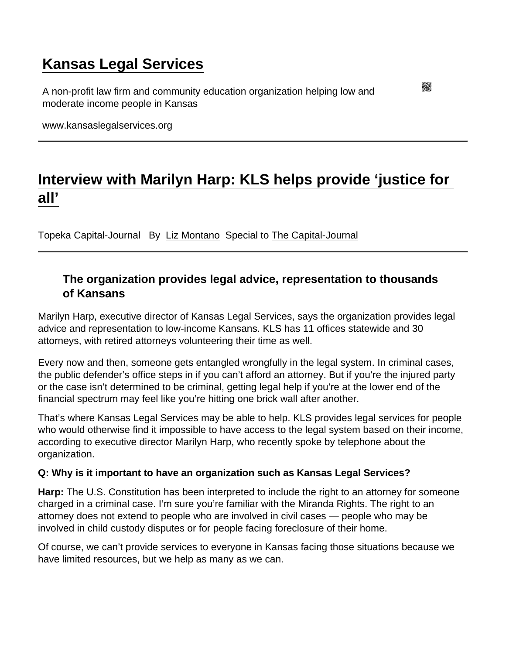## [Kansas Legal Services](https://www.kansaslegalservices.org/)

A non-profit law firm and community education organization helping low and moderate income people in Kansas

www.kansaslegalservices.org

## [Interview with Marilyn Harp: KLS helps provide 'justice for](https://www.kansaslegalservices.org/node/2082/interview-marilyn-harp-kls-helps-provide-‘justice-all’)  [all'](https://www.kansaslegalservices.org/node/2082/interview-marilyn-harp-kls-helps-provide-‘justice-all’)

Topeka Capital-Journal By [Liz Montano](http://cjonline.com/liz-montano) Special to [The Capital-Journal](http://cjonline.com/life/2016-11-22/c-j-extra-qa-kansas-legal-services-helps-provides-justice-all)

## The organization provides legal advice, representation to thousands of Kansans

Marilyn Harp, executive director of Kansas Legal Services, says the organization provides legal advice and representation to low-income Kansans. KLS has 11 offices statewide and 30 attorneys, with retired attorneys volunteering their time as well.

Every now and then, someone gets entangled wrongfully in the legal system. In criminal cases, the public defender's office steps in if you can't afford an attorney. But if you're the injured party or the case isn't determined to be criminal, getting legal help if you're at the lower end of the financial spectrum may feel like you're hitting one brick wall after another.

That's where Kansas Legal Services may be able to help. KLS provides legal services for people who would otherwise find it impossible to have access to the legal system based on their income, according to executive director Marilyn Harp, who recently spoke by telephone about the organization.

Q: Why is it important to have an organization such as Kansas Legal Services?

Harp: The U.S. Constitution has been interpreted to include the right to an attorney for someone charged in a criminal case. I'm sure you're familiar with the Miranda Rights. The right to an attorney does not extend to people who are involved in civil cases — people who may be involved in child custody disputes or for people facing foreclosure of their home.

Of course, we can't provide services to everyone in Kansas facing those situations because we have limited resources, but we help as many as we can.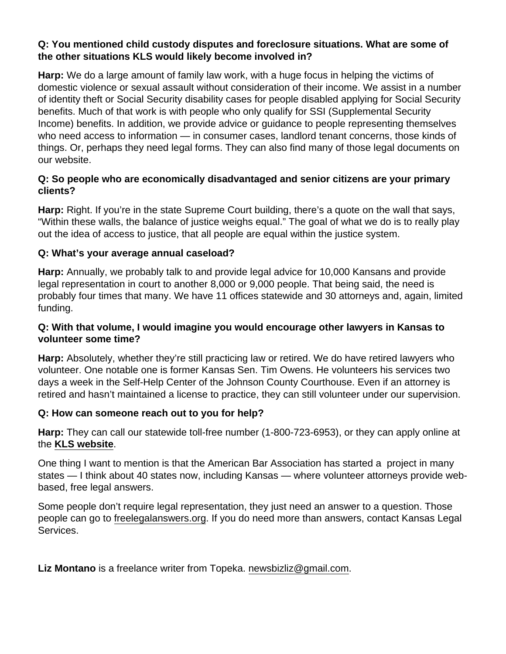Q: You mentioned child custody disputes and foreclosure situations. What are some of the other situations KLS would likely become involved in?

Harp: We do a large amount of family law work, with a huge focus in helping the victims of domestic violence or sexual assault without consideration of their income. We assist in a number of identity theft or Social Security disability cases for people disabled applying for Social Security benefits. Much of that work is with people who only qualify for SSI (Supplemental Security Income) benefits. In addition, we provide advice or guidance to people representing themselves who need access to information — in consumer cases, landlord tenant concerns, those kinds of things. Or, perhaps they need legal forms. They can also find many of those legal documents on our website.

Q: So people who are economically disadvantaged and senior citizens are your primary clients?

Harp: Right. If you're in the state Supreme Court building, there's a quote on the wall that says, "Within these walls, the balance of justice weighs equal." The goal of what we do is to really play out the idea of access to justice, that all people are equal within the justice system.

Q: What's your average annual caseload?

Harp: Annually, we probably talk to and provide legal advice for 10,000 Kansans and provide legal representation in court to another 8,000 or 9,000 people. That being said, the need is probably four times that many. We have 11 offices statewide and 30 attorneys and, again, limited funding.

Q: With that volume, I would imagine you would encourage other lawyers in Kansas to volunteer some time?

Harp: Absolutely, whether they're still practicing law or retired. We do have retired lawyers who volunteer. One notable one is former Kansas Sen. Tim Owens. He volunteers his services two days a week in the Self-Help Center of the Johnson County Courthouse. Even if an attorney is retired and hasn't maintained a license to practice, they can still volunteer under our supervision.

Q: How can someone reach out to you for help?

Harp: They can call our statewide toll-free number (1-800-723-6953), or they can apply online at the [KLS website](https://www.kansaslegalservices.org/node/809/online-application) .

One thing I want to mention is that the American Bar Association has started a project in many states — I think about 40 states now, including Kansas — where volunteer attorneys provide webbased, free legal answers.

Some people don't require legal representation, they just need an answer to a question. Those people can go to [freelegalanswers.org](https://kansas.freelegalanswers.org/). If you do need more than answers, contact Kansas Legal Services.

Liz Montano is a freelance writer from Topeka. [newsbizliz@gmail.com](mailto:newsbizliz@gmail.com).